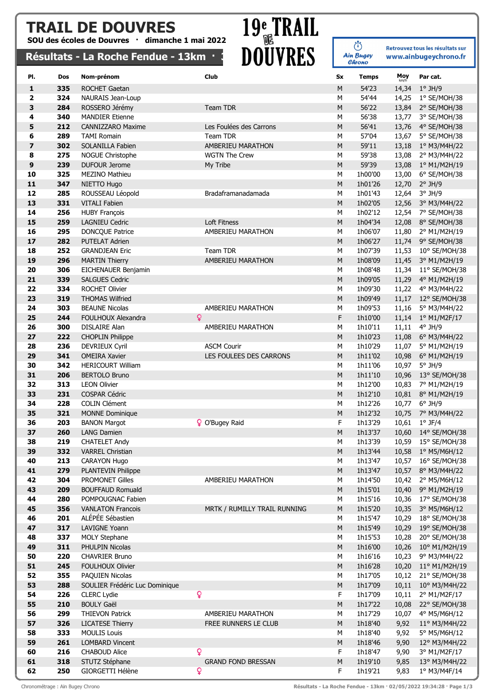### TRAIL DE DOUVRES

SOU des écoles de Douvres · dimanche 1 mai 2022

## TRAIL DE DOUVRES 19<sup>e</sup> TRAIL<br>
SOU des écoles de Douvres · dimanche 1 mai 2022<br>
Résultats - La Roche Fendue - 13km · 3 DOUVRES

ن<br>Ain Bugey Retrouvez tous les résultats sur www.ainbugeychrono.fr

| nesurats                     |            | <b>FRIZANCIIA I CIMMA</b>                            | <u>ajnii</u>         | <b>DAO I ITP</b>             |             | Chrono             |                | <u>www.ampageyen.onom</u>        |
|------------------------------|------------|------------------------------------------------------|----------------------|------------------------------|-------------|--------------------|----------------|----------------------------------|
| PI.                          | Dos        | Nom-prénom                                           | Club                 |                              | Sx          | <b>Temps</b>       | Moy            | Par cat.                         |
| $\mathbf{1}$                 | 335        | <b>ROCHET Gaetan</b>                                 |                      |                              | М           | 54'23              | km/h<br>14,34  | $1^\circ$ JH/9                   |
|                              | 324        |                                                      |                      |                              |             | 54'44              |                |                                  |
| 2<br>3                       | 284        | NAURAIS Jean-Loup<br>ROSSERO Jérémy                  | <b>Team TDR</b>      |                              | М           | 56'22              | 14,25          | 1° SE/MOH/38<br>2° SE/MOH/38     |
| 4                            | 340        | <b>MANDIER Etienne</b>                               |                      |                              | М           | 56'38              | 13,84          |                                  |
| 5                            | 212        | <b>CANNIZZARO Maxime</b>                             |                      |                              | М<br>M      | 56'41              | 13,77          | 3° SE/MOH/38                     |
|                              |            |                                                      |                      | Les Foulées des Carrons      |             |                    | 13,76          | 4° SE/MOH/38                     |
| 6<br>$\overline{\mathbf{z}}$ | 289        | <b>TAMI Romain</b>                                   | Team TDR             | AMBERIEU MARATHON            | M           | 57'04              | 13,67          | 5° SE/MOH/38                     |
| 8                            | 302<br>275 | SOLANILLA Fabien                                     | <b>WGTN The Crew</b> |                              | M           | 59'11<br>59'38     | 13,18          | 1° M3/M4H/22                     |
| 9                            | 239        | <b>NOGUE Christophe</b><br><b>DUFOUR Jerome</b>      |                      |                              | М<br>M      | 59'39              | 13,08          | 2° M3/M4H/22                     |
| 10                           | 325        | <b>MEZINO Mathieu</b>                                | My Tribe             |                              |             | 1h00'00            | 13,08          | 1º M1/M2H/19                     |
| 11                           | 347        | NIETTO Hugo                                          |                      |                              | М<br>M      | 1h01'26            | 13,00<br>12,70 | 6° SE/MOH/38<br>$2^{\circ}$ JH/9 |
| 12                           | 285        | ROUSSEAU Léopold                                     |                      | Bradaframanadamada           | M           | 1h01'43            | 12,64          | 3° JH/9                          |
| 13                           | 331        | <b>VITALI Fabien</b>                                 |                      |                              | M           | 1h02'05            | 12,56          | 3° M3/M4H/22                     |
| 14                           | 256        | <b>HUBY François</b>                                 |                      |                              | M           | 1h02'12            |                | 12,54 7° SE/MOH/38               |
| 15                           | 259        | <b>LAGNIEU Cedric</b>                                | Loft Fitness         |                              | M           | 1h04'34            | 12,08          | 8° SE/MOH/38                     |
| 16                           | 295        | <b>DONCQUE Patrice</b>                               |                      | AMBERIEU MARATHON            | M           | 1h06'07            | 11,80          | 2° M1/M2H/19                     |
| 17                           | 282        | <b>PUTELAT Adrien</b>                                |                      |                              | M           | 1h06'27            | 11,74          | 9° SE/MOH/38                     |
| 18                           | 252        | <b>GRANDJEAN Eric</b>                                | Team TDR             |                              | M           | 1h07'39            | 11,53          | 10° SE/MOH/38                    |
| 19                           | 296        | <b>MARTIN Thierry</b>                                |                      | AMBERIEU MARATHON            | M           | 1h08'09            | 11,45          | 3° M1/M2H/19                     |
| 20                           | 306        | EICHENAUER Benjamin                                  |                      |                              | М           | 1h08'48            | 11,34          | 11° SE/MOH/38                    |
| 21                           | 339        | <b>SALGUES Cedric</b>                                |                      |                              | M           | 1h09'05            | 11,29          | 4° M1/M2H/19                     |
| 22                           | 334        | <b>ROCHET Olivier</b>                                |                      |                              | М           | 1h09'30            | 11,22          | 4° M3/M4H/22                     |
| 23                           | 319        | <b>THOMAS Wilfried</b>                               |                      |                              | M           | 1h09'49            | 11,17          | 12° SE/MOH/38                    |
| 24                           | 303        | <b>BEAUNE Nicolas</b>                                |                      | AMBERIEU MARATHON            | M           | 1h09'53            | 11,16          | 5° M3/M4H/22                     |
| 25                           | 244        | FOULHOUX Alexandra                                   | ò                    |                              | F           | 1h10'00            | 11,14          | 1º M1/M2F/17                     |
| 26                           | 300        | <b>DISLAIRE Alan</b>                                 |                      | AMBERIEU MARATHON            | М           | 1h10'11            | 11,11          | $4^{\circ}$ JH/9                 |
| 27                           | 222        | <b>CHOPLIN Philippe</b>                              |                      |                              | М           | 1h10'23            | 11,08          | 6° M3/M4H/22                     |
| 28                           | 236        | DEVRIEUX Cyril                                       | <b>ASCM Courir</b>   |                              | М           | 1h10'29            | 11,07          | 5° M1/M2H/19                     |
| 29                           | 341        | <b>OMEIRA Xavier</b>                                 |                      | LES FOULEES DES CARRONS      | M           | 1h11'02            | 10,98          | 6° M1/M2H/19                     |
| 30                           | 342        | <b>HERICOURT William</b>                             |                      |                              | М           | 1h11'06            | 10,97          | $5^\circ$ JH/9                   |
| 31                           | 206        | <b>BERTOLO Bruno</b>                                 |                      |                              | M           | 1h11'10            | 10,96          | 13° SE/MOH/38                    |
| 32                           | 313        | <b>LEON Olivier</b>                                  |                      |                              | М           | 1h12'00            | 10,83          | 7° M1/M2H/19                     |
| 33                           | 231        | <b>COSPAR Cédric</b>                                 |                      |                              | M           | 1h12'10            | 10,81          | 8° M1/M2H/19                     |
| 34                           | 228        | <b>COLIN Clément</b>                                 |                      |                              | м           | 1h12'26            | 10,77          | $6^{\circ}$ JH/9                 |
| 35                           | 321        | <b>MONNE Dominique</b>                               |                      |                              | M           | 1h12'32            | 10,75          | 7° M3/M4H/22                     |
| 36                           | 203        | <b>BANON Margot</b>                                  | P O'Bugey Raid       |                              | F           | 1h13'29            |                | 10,61 $1^{\circ}$ JF/4           |
| 37                           | 260        | <b>LANG Damien</b>                                   |                      |                              | $M_{\odot}$ | 1h13'37            |                | 10,60 14° SE/MOH/38              |
| 38                           | 219        | <b>CHATELET Andy</b>                                 |                      |                              | М           | 1h13'39            | 10,59          | 15° SE/MOH/38                    |
| 39                           | 332        | <b>VARREL Christian</b>                              |                      |                              | М           | 1h13'44            | 10,58          | 1° M5/M6H/12                     |
| 40                           | 213        | CARAYON Hugo                                         |                      |                              | М           | 1h13'47            | 10,57          | 16° SE/MOH/38                    |
| 41                           | 279        | PLANTEVIN Philippe                                   |                      |                              | M           | 1h13'47            | 10,57          | 8° M3/M4H/22                     |
| 42                           | 304        | <b>PROMONET Gilles</b>                               |                      | AMBERIEU MARATHON            | М           | 1h14'50            | 10,42          | 2° M5/M6H/12                     |
| 43                           | 209        | <b>BOUFFAUD Romuald</b>                              |                      |                              | ${\sf M}$   | 1h15'01            | 10,40          | 9° M1/M2H/19                     |
| 44                           | 280        | POMPOUGNAC Fabien                                    |                      |                              | М           | 1h15'16            | 10,36          | 17° SE/MOH/38                    |
| 45                           | 356        | <b>VANLATON Francois</b>                             |                      | MRTK / RUMILLY TRAIL RUNNING | M           | 1h15'20            | 10,35          | 3° M5/M6H/12                     |
| 46                           | 201        | ALÉPÉE Sébastien                                     |                      |                              | М           | 1h15'47            | 10,29          | 18° SE/MOH/38                    |
| 47                           | 317        | LAVIGNE Yoann                                        |                      |                              | M           | 1h15'49            | 10,29          | 19° SE/MOH/38                    |
| 48                           | 337        | <b>MOLY Stephane</b>                                 |                      |                              | М           | 1h15'53            | 10,28          | 20° SE/MOH/38                    |
| 49                           | 311        | PHULPIN Nicolas                                      |                      |                              | M           | 1h16'00            | 10,26          | 10° M1/M2H/19                    |
| 50                           | 220        | CHAVRIER Bruno                                       |                      |                              | М           | 1h16'16            | 10,23          | 9° M3/M4H/22                     |
| 51                           | 245        | <b>FOULHOUX Olivier</b>                              |                      |                              | М           | 1h16'28            | 10,20          | 11° M1/M2H/19                    |
| 52                           | 355        | PAQUIEN Nicolas                                      |                      |                              | М           | 1h17'05            | 10,12          | 21° SE/MOH/38                    |
| 53<br>54                     | 288<br>226 | SOULIER Frédéric Luc Dominique<br><b>CLERC Lydie</b> | ò                    |                              | M<br>F      | 1h17'09<br>1h17'09 | 10,11<br>10,11 | 10° M3/M4H/22<br>2° M1/M2F/17    |
| 55                           | 210        | <b>BOULY Gaël</b>                                    |                      |                              | ${\sf M}$   | 1h17'22            | 10,08          | 22° SE/MOH/38                    |
| 56                           | 299        | <b>THIEVON Patrick</b>                               |                      | AMBERIEU MARATHON            | М           | 1h17'29            | 10,07          | 4° M5/M6H/12                     |
| 57                           | 326        | <b>LICATESE Thierry</b>                              |                      | FREE RUNNERS LE CLUB         | ${\sf M}$   | 1h18'40            | 9,92           | 11° M3/M4H/22                    |
| 58                           | 333        | <b>MOULIS Louis</b>                                  |                      |                              | М           | 1h18'40            | 9,92           | 5° M5/M6H/12                     |
| 59                           | 261        | <b>LOMBARD Vincent</b>                               |                      |                              | M           | 1h18'46            | 9,90           | 12° M3/M4H/22                    |
| 60                           | 216        | <b>CHABOUD Alice</b>                                 | Q                    |                              | F           | 1h18'47            | 9,90           | 3° M1/M2F/17                     |
| 61                           | 318        | STUTZ Stéphane                                       |                      | <b>GRAND FOND BRESSAN</b>    | ${\sf M}$   | 1h19'10            | 9,85           | 13° M3/M4H/22                    |
| 62                           | 250        | GIORGETTI Hélène                                     | ò                    |                              | F           | 1h19'21            | 9,83           | 1° M3/M4F/14                     |
|                              |            |                                                      |                      |                              |             |                    |                |                                  |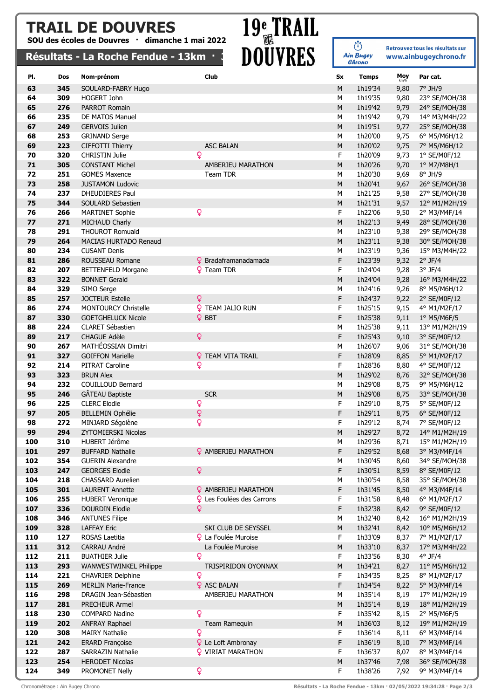### TRAIL DE DOUVRES

SOU des écoles de Douvres · dimanche 1 mai 2022

## TRAIL DE DOUVRES 19<sup>e</sup> TRAIL<br>
SOU des écoles de Douvres · dimanche 1 mai 2022<br>
Résultats - La Roche Fendue - 13km · 3 DOUVRES

(i)<br>Ain Bugey Retrouvez tous les résultats sur www.ainbugeychrono.fr

|            | resultats  | <b>EQ INACTIC LATIONAL</b>                       | TJNII              | <b>DAAITP</b>                    |           | Chrono             |              |                               |
|------------|------------|--------------------------------------------------|--------------------|----------------------------------|-----------|--------------------|--------------|-------------------------------|
| PI.        | Dos        | Nom-prénom                                       | Club               |                                  | Sx        | <b>Temps</b>       | Moy          | Par cat.                      |
| 63         | 345        | SOULARD-FABRY Hugo                               |                    |                                  | ${\sf M}$ | 1h19'34            | km/h         | $7°$ JH/9                     |
| 64         | 309        | HOGERT John                                      |                    |                                  | М         | 1h19'35            | 9,80<br>9,80 | 23° SE/MOH/38                 |
| 65         | 276        | <b>PARROT Romain</b>                             |                    |                                  | M         | 1h19'42            | 9,79         | 24° SE/MOH/38                 |
| 66         | 235        | DE MATOS Manuel                                  |                    |                                  | М         | 1h19'42            | 9,79         | 14° M3/M4H/22                 |
| 67         | 249        | <b>GERVOIS Julien</b>                            |                    |                                  | M         | 1h19'51            | 9,77         | 25° SE/MOH/38                 |
| 68         | 253        | <b>GRINAND Serge</b>                             |                    |                                  | М         | 1h20'00            | 9,75         | 6° M5/M6H/12                  |
| 69         | 223        | CIFFOTTI Thierry                                 | <b>ASC BALAN</b>   |                                  | M         | 1h20'02            | 9,75         | 7° M5/M6H/12                  |
| 70         | 320        | <b>CHRISTIN Julie</b>                            | Q                  |                                  | F         | 1h20'09            | 9,73         | $1°$ SE/M0F/12                |
| 71         | 305        | <b>CONSTANT Michel</b>                           |                    | AMBERIEU MARATHON                | M         | 1h20'26            | 9,70         | 1° M7/M8H/1                   |
| 72         | 251        | <b>GOMES Maxence</b>                             | Team TDR           |                                  | М         | 1h20'30            | 9,69         | $8^\circ$ JH/9                |
| 73         | 258        | <b>JUSTAMON Ludovic</b>                          |                    |                                  | M         | 1h20'41            | 9,67         | 26° SE/MOH/38                 |
| 74         | 237        | DHEUDIERES Paul                                  |                    |                                  | M         | 1h21'25            | 9,58         | 27° SE/MOH/38                 |
| 75         | 344        | SOULARD Sebastien                                |                    |                                  | M         | 1h21'31            | 9,57         | 12° M1/M2H/19                 |
| 76         | 266        | <b>MARTINET Sophie</b>                           | Q                  |                                  | F         | 1h22'06            | 9,50         | 2° M3/M4F/14                  |
| 77         | 271        | MICHAUD Charly                                   |                    |                                  | M         | 1h22'13            | 9,49         | 28° SE/MOH/38                 |
| 78         | 291        | <b>THOUROT Romuald</b>                           |                    |                                  | М         | 1h23'10            | 9,38         | 29° SE/MOH/38                 |
| 79         | 264        | MACIAS HURTADO Renaud                            |                    |                                  | M         | 1h23'11            | 9,38         | 30° SE/MOH/38                 |
| 80         | 234        | <b>CUSANT Denis</b>                              |                    |                                  | М         | 1h23'19            | 9,36         | 15° M3/M4H/22                 |
| 81         | 286        | ROUSSEAU Romane                                  |                    | <b>9</b> Bradaframanadamada      | F         | 1h23'39            | 9,32         | $2^{\circ}$ JF/4              |
| 82         | 207        | <b>BETTENFELD Morgane</b>                        | <b>9</b> Team TDR  |                                  | F         | 1h24'04            | 9,28         | $3^{\circ}$ JF/4              |
| 83         | 322        | <b>BONNET Gerald</b>                             |                    |                                  | M         | 1h24'04            | 9,28         | 16° M3/M4H/22                 |
| 84         | 329        | SIMO Serge                                       |                    |                                  | М         | 1h24'16            | 9,26         | 8° M5/M6H/12                  |
| 85         | 257        | <b>JOCTEUR Estelle</b>                           | Q                  |                                  | F         | 1h24'37            | 9,22         | 2° SE/M0F/12                  |
| 86         | 274        | MONTOURCY Christelle                             | Q.                 | TEAM JALIO RUN                   | F         | 1h25'15            | 9,15         | 4° M1/M2F/17                  |
| 87         | 330        | <b>GOETGHELUCK Nicole</b>                        | <b>Q</b> BBT       |                                  | F         | 1h25'38            | 9,11         | 1° M5/M6F/5                   |
| 88         | 224        | CLARET Sébastien                                 |                    |                                  | М         | 1h25'38            | 9,11         | 13° M1/M2H/19                 |
| 89         | 217        | <b>CHAGUE Adèle</b>                              | Q                  |                                  | F         | 1h25'43            | 9,10         | 3° SE/M0F/12                  |
| 90         | 267        | MATHÉOSSIAN Dimitri                              |                    |                                  | М         | 1h26'07            | 9,06         | 31° SE/MOH/38                 |
| 91         | 327        | <b>GOIFFON Marielle</b>                          |                    | <b>Q</b> TEAM VITA TRAIL         | F         | 1h28'09            | 8,85         | 5° M1/M2F/17                  |
| 92         | 214        | PITRAT Caroline                                  | Q                  |                                  | F         | 1h28'36            | 8,80         | 4° SE/M0F/12                  |
| 93         | 323        | <b>BRUN Alex</b>                                 |                    |                                  | M         | 1h29'02            | 8,76         | 32° SE/MOH/38                 |
| 94         | 232        | COUILLOUD Bernard                                |                    |                                  | М         | 1h29'08            | 8,75         | 9° M5/M6H/12                  |
| 95         | 246        | GÂTEAU Baptiste                                  | <b>SCR</b>         |                                  | М         | 1h29'08            | 8,75         | 33° SE/MOH/38                 |
| 96         | 225        | <b>CLERC Elodie</b>                              | Q                  |                                  | F         | 1h29'10            | 8,75         | 5° SE/M0F/12                  |
| 97         | 205        | <b>BELLEMIN Ophélie</b>                          | ò                  |                                  | F         | 1h29'11            | 8,75         | 6° SE/M0F/12                  |
| 98         | 272        | MINJARD Ségolène                                 | ò                  |                                  | F         | 1h29'12            | 8,74         | 7° SE/M0F/12                  |
| 99         | 294        | ZYTOMIERSKI Nicolas                              |                    |                                  | M         | 1h29'27            | 8,72         | 14° M1/M2H/19                 |
| 100        | 310        | HUBERT Jérôme                                    |                    |                                  | М         | 1h29'36            | 8,71         | 15° M1/M2H/19                 |
| 101        | 297        | <b>BUFFARD Nathalie</b>                          |                    | <b>2</b> AMBERIEU MARATHON       | F         | 1h29'52            | 8,68         | 3° M3/M4F/14                  |
| 102        | 354<br>247 | <b>GUERIN Alexandre</b><br><b>GEORGES Elodie</b> | ò                  |                                  | М<br>F    | 1h30'45            | 8,60         | 34° SE/MOH/38                 |
| 103<br>104 | 218        | <b>CHASSARD Aurelien</b>                         |                    |                                  | М         | 1h30'51<br>1h30'54 | 8,59<br>8,58 | 8° SE/M0F/12<br>35° SE/MOH/38 |
| 105        | 301        | <b>LAURENT Annette</b>                           |                    | <b>?</b> AMBERIEU MARATHON       | F         | 1h31'45            | 8,50         | 4° M3/M4F/14                  |
| 106        | 255        | <b>HUBERT Veronique</b>                          |                    | <b>Q</b> Les Foulées des Carrons | F         | 1h31'58            | 8,48         | 6° M1/M2F/17                  |
| 107        | 336        | DOURDIN Elodie                                   | Q                  |                                  | F         | 1h32'38            | 8,42         | 9° SE/M0F/12                  |
| 108        | 346        | <b>ANTUNES Filipe</b>                            |                    |                                  | М         | 1h32'40            | 8,42         | 16° M1/M2H/19                 |
| 109        | 328        | <b>LAFFAY Eric</b>                               |                    | SKI CLUB DE SEYSSEL              | М         | 1h32'41            | 8,42         | 10° M5/M6H/12                 |
| 110        | 127        | ROSAS Laetitia                                   |                    | <b>Q</b> La Foulée Muroise       | F         | 1h33'09            | 8,37         | 7° M1/M2F/17                  |
| 111        | 312        | CARRAU André                                     |                    | La Foulée Muroise                | M         | 1h33'10            | 8,37         | 17° M3/M4H/22                 |
| 112        | 211        | <b>BUATHIER Julie</b>                            | Q                  |                                  | F         | 1h33'56            | 8,30         | $4^{\circ}$ JF/4              |
| 113        | 293        | <b>WANWESTWINKEL Philippe</b>                    |                    | TRISPIRIDON OYONNAX              | M         | 1h34'21            | 8,27         | 11° M5/M6H/12                 |
| 114        | 221        | <b>CHAVRIER Delphine</b>                         | Q                  |                                  | F.        | 1h34'35            | 8,25         | 8° M1/M2F/17                  |
| 115        | 269        | <b>MERLIN Marie-France</b>                       | <b>Q</b> ASC BALAN |                                  | F         | 1h34'54            | 8,22         | 5° M3/M4F/14                  |
| 116        | 298        | DRAGIN Jean-Sébastien                            |                    | AMBERIEU MARATHON                | М         | 1h35'14            | 8,19         | 17° M1/M2H/19                 |
| 117        | 281        | PRECHEUR Armel                                   |                    |                                  | ${\sf M}$ | 1h35'14            | 8,19         | 18° M1/M2H/19                 |
| 118        | 230        | <b>COMPARD Nadine</b>                            | ò                  |                                  | F.        | 1h35'42            | 8,15         | 2° M5/M6F/5                   |
| 119        | 202        | <b>ANFRAY Raphael</b>                            |                    | Team Ramequin                    | М         | 1h36'03            | 8,12         | 19° M1/M2H/19                 |
| 120        | 308        | <b>MAIRY Nathalie</b>                            | Q                  |                                  | F         | 1h36'14            | 8,11         | 6° M3/M4F/14                  |
| 121        | 242        | <b>ERARD Françoise</b>                           |                    | <b>Q</b> Le Loft Ambronay        | F         | 1h36'19            | 8,10         | 7° M3/M4F/14                  |
| 122        | 287        | <b>SARRAZIN Nathalie</b>                         |                    | <b>?</b> VIRIAT MARATHON         | F         | 1h36'37            | 8,07         | 8° M3/M4F/14                  |
| 123        | 254        | <b>HERODET Nicolas</b>                           |                    |                                  | M         | 1h37'46            | 7,98         | 36° SE/MOH/38                 |
| 124        | 349        | PROMONET Nelly                                   | Q                  |                                  | F.        | 1h38'26            | 7,92         | 9° M3/M4F/14                  |

Chronométrage : Ain Bugey Chrono Résultats - La Roche Fendue - 13km · 02/05/2022 19:34:28 · Page 2/3